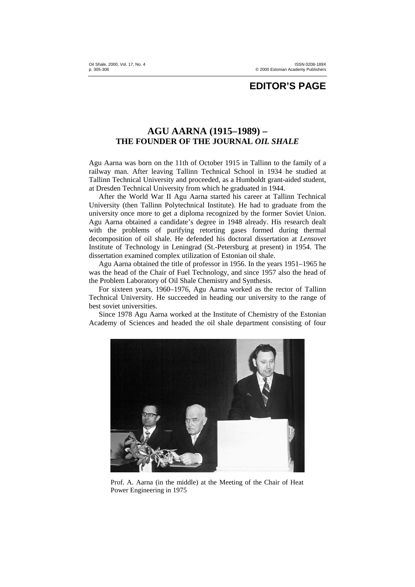## **EDITOR'S PAGE**

## **AGU AARNA (1915–1989) – THE FOUNDER OF THE JOURNAL** *OIL SHALE*

Agu Aarna was born on the 11th of October 1915 in Tallinn to the family of a railway man. After leaving Tallinn Technical School in 1934 he studied at Tallinn Technical University and proceeded, as a Humboldt grant-aided student, at Dresden Technical University from which he graduated in 1944.

After the World War II Agu Aarna started his career at Tallinn Technical University (then Tallinn Polytechnical Institute). He had to graduate from the university once more to get a diploma recognized by the former Soviet Union. Agu Aarna obtained a candidate's degree in 1948 already. His research dealt with the problems of purifying retorting gases formed during thermal decomposition of oil shale. He defended his doctoral dissertation at *Lensovet* Institute of Technology in Leningrad (St.-Petersburg at present) in 1954. The dissertation examined complex utilization of Estonian oil shale.

Agu Aarna obtained the title of professor in 1956. In the years 1951–1965 he was the head of the Chair of Fuel Technology, and since 1957 also the head of the Problem Laboratory of Oil Shale Chemistry and Synthesis.

For sixteen years, 1960–1976, Agu Aarna worked as the rector of Tallinn Technical University. He succeeded in heading our university to the range of best soviet universities.

Since 1978 Agu Aarna worked at the Institute of Chemistry of the Estonian Academy of Sciences and headed the oil shale department consisting of four



Prof. A. Aarna (in the middle) at the Meeting of the Chair of Heat Power Engineering in 1975